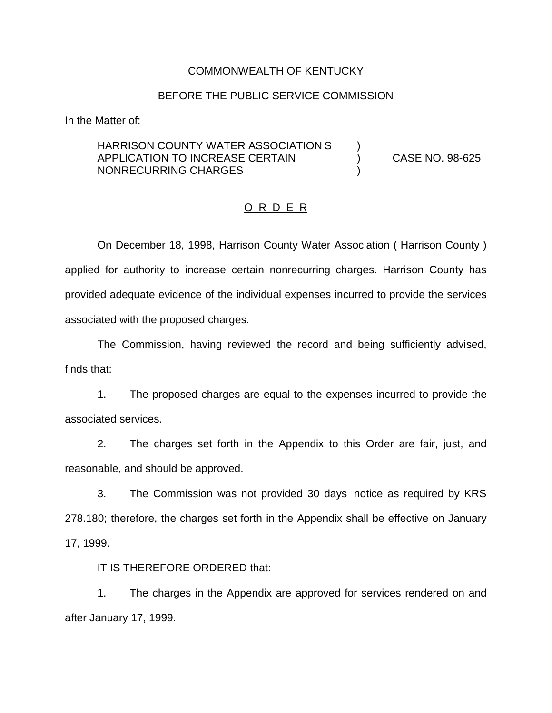#### COMMONWEALTH OF KENTUCKY

### BEFORE THE PUBLIC SERVICE COMMISSION

In the Matter of:

# HARRISON COUNTY WATER ASSOCIATION S ) APPLICATION TO INCREASE CERTAIN (38-625) CASE NO. 98-625 NONRECURRING CHARGES )

## O R D E R

On December 18, 1998, Harrison County Water Association ( Harrison County ) applied for authority to increase certain nonrecurring charges. Harrison County has provided adequate evidence of the individual expenses incurred to provide the services associated with the proposed charges.

The Commission, having reviewed the record and being sufficiently advised, finds that:

1. The proposed charges are equal to the expenses incurred to provide the associated services.

2. The charges set forth in the Appendix to this Order are fair, just, and reasonable, and should be approved.

3. The Commission was not provided 30 days notice as required by KRS 278.180; therefore, the charges set forth in the Appendix shall be effective on January 17, 1999.

IT IS THEREFORE ORDERED that:

1. The charges in the Appendix are approved for services rendered on and after January 17, 1999.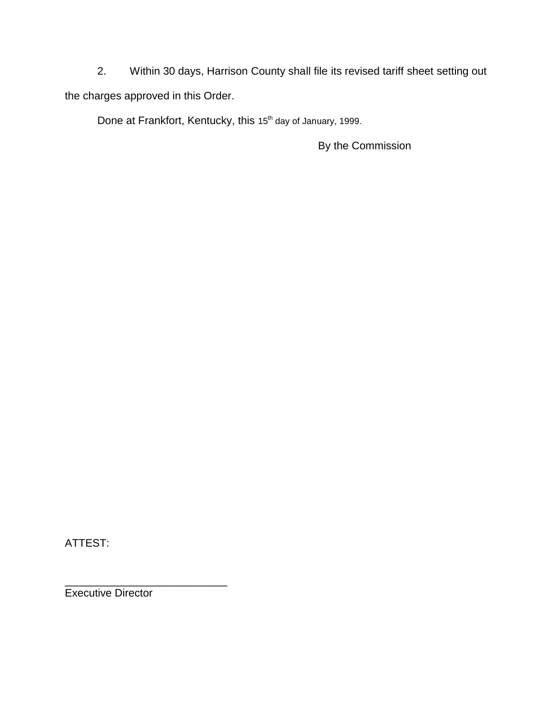2. Within 30 days, Harrison County shall file its revised tariff sheet setting out the charges approved in this Order.

Done at Frankfort, Kentucky, this 15<sup>th</sup> day of January, 1999.

By the Commission

ATTEST:

Executive Director

\_\_\_\_\_\_\_\_\_\_\_\_\_\_\_\_\_\_\_\_\_\_\_\_\_\_\_